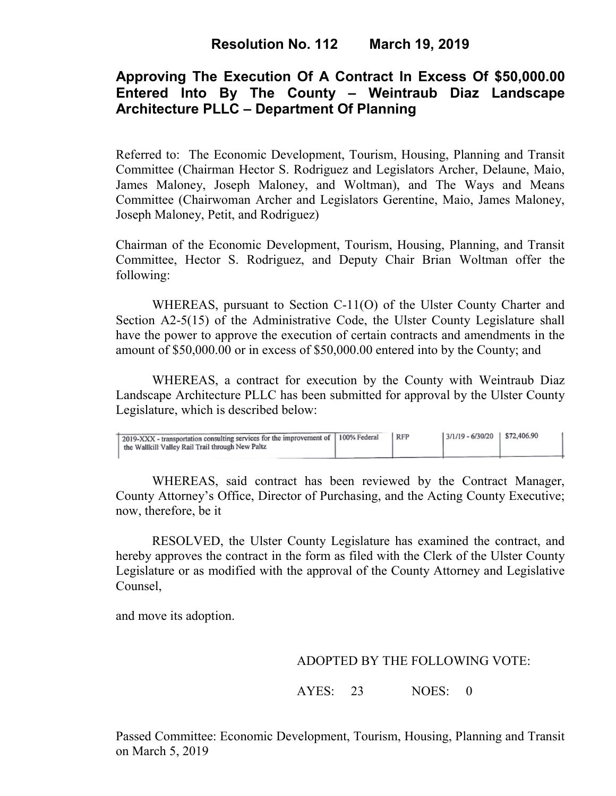# **Approving The Execution Of A Contract In Excess Of \$50,000.00 Entered Into By The County – Weintraub Diaz Landscape Architecture PLLC – Department Of Planning**

Referred to: The Economic Development, Tourism, Housing, Planning and Transit Committee (Chairman Hector S. Rodriguez and Legislators Archer, Delaune, Maio, James Maloney, Joseph Maloney, and Woltman), and The Ways and Means Committee (Chairwoman Archer and Legislators Gerentine, Maio, James Maloney, Joseph Maloney, Petit, and Rodriguez)

Chairman of the Economic Development, Tourism, Housing, Planning, and Transit Committee, Hector S. Rodriguez, and Deputy Chair Brian Woltman offer the following:

WHEREAS, pursuant to Section C-11(O) of the Ulster County Charter and Section A2-5(15) of the Administrative Code, the Ulster County Legislature shall have the power to approve the execution of certain contracts and amendments in the amount of \$50,000.00 or in excess of \$50,000.00 entered into by the County; and

WHEREAS, a contract for execution by the County with Weintraub Diaz Landscape Architecture PLLC has been submitted for approval by the Ulster County Legislature, which is described below:

| 2019-XXX - transportation consulting services for the improvement of   100% Federal<br>the Wallkill Valley Rail Trail through New Paltz | <b>RFP</b> | $3/1/19 - 6/30/20$ \$72,406.90 |  |
|-----------------------------------------------------------------------------------------------------------------------------------------|------------|--------------------------------|--|
|                                                                                                                                         |            |                                |  |

WHEREAS, said contract has been reviewed by the Contract Manager, County Attorney's Office, Director of Purchasing, and the Acting County Executive; now, therefore, be it

RESOLVED, the Ulster County Legislature has examined the contract, and hereby approves the contract in the form as filed with the Clerk of the Ulster County Legislature or as modified with the approval of the County Attorney and Legislative Counsel,

and move its adoption.

## ADOPTED BY THE FOLLOWING VOTE:

AYES: 23 NOES: 0

Passed Committee: Economic Development, Tourism, Housing, Planning and Transit on March 5, 2019